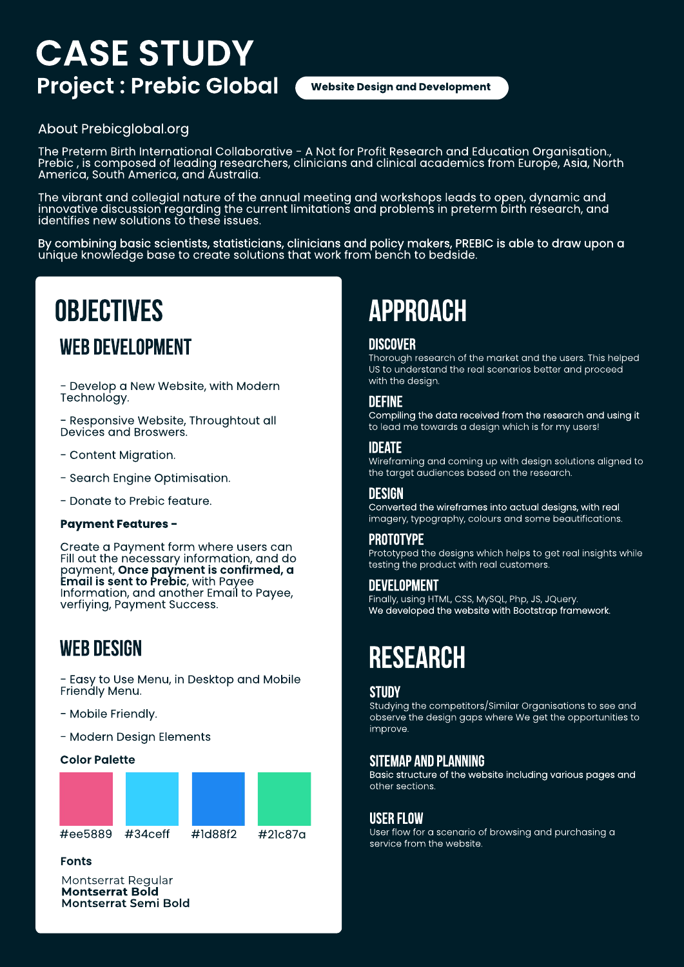# **CASE STUDY Project : Prebic Global**

**Website Design and Development**

### [About Prebicglobal.org](https://prebicglobal.org/)

The Preterm Birth International Collaborative - A Not for Profit Research and Education Organisation., Prebic , is composed of leading researchers, clinicians and clinical academics from Europe, Asia, North America, South America, and Australia.

The vibrant and collegial nature of the annual meeting and workshops leads to open, dynamic and innovative discussion regarding the current limitations and problems in preterm birth research, and identifies new solutions to these issues.

By combining basic scientists, statisticians, clinicians and policy makers, PREBIC is able to draw upon a unique knowledge base to create solutions that work from bench to bedside.

# **OBJECTIVES APPROACH**

### WEB DEVELOPMENT

- Develop a New Website, with Modern Technology.

- Responsive Website, Throughtout all Devices and Broswers.

- Content Migration.

- Search Engine Optimisation.

- Donate to Prebic feature.

#### **Payment Features -**

Create a Payment form where users can Fill out the necessary information, and do payment, **Once payment is confirmed, a Email is sent to Prebic**, with Payee Information, and another Email to Payee, verfiying, Payment Success.

### **WEB DESIGN**

- Easy to Use Menu, in Desktop and Mobile Friendly Menu.

- Mobile Friendly.

- Modern Design Elements

#### **Color Palette**



**Fonts**

Montserrat Regular **Montserrat Bold Montserrat Semi Bold** 

#### **Discover**

Thorough research of the market and the users. This helped US to understand the real scenarios better and proceed with the design.

#### **Define**

Compiling the data received from the research and using it to lead me towards a design which is for my users!

#### **Ideate**

Wireframing and coming up with design solutions aligned to the target audiences based on the research.

#### **Design**

Converted the wireframes into actual designs, with real imagery, typography, colours and some beautifications.

#### **Prototype**

Prototyped the designs which helps to get real insights while testing the product with real customers.

### **Development**

Finally, using HTML, CSS, MySQL, Php, JS, JQuery. We developed the website with Bootstrap framework.

### **RESEARCH**

#### **Study**

Studying the competitors/Similar Organisations to see and observe the design gaps where We get the opportunities to improve.

#### **Sitemap and Planning**

Basic structure of the website including various pages and other sections.

#### **User Flow**

User flow for a scenario of browsing and purchasing a service from the website.